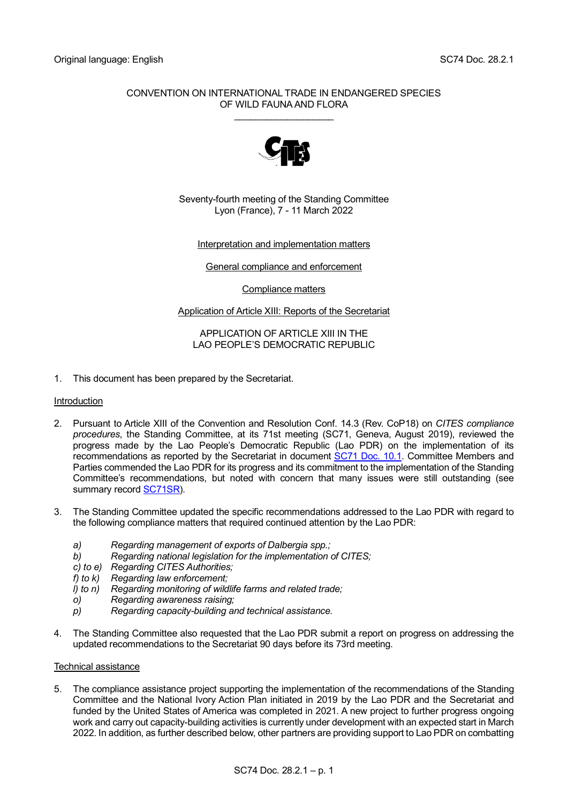# CONVENTION ON INTERNATIONAL TRADE IN ENDANGERED SPECIES OF WILD FAUNA AND FLORA \_\_\_\_\_\_\_\_\_\_\_\_\_\_\_\_\_\_\_



Seventy-fourth meeting of the Standing Committee Lyon (France), 7 - 11 March 2022

# Interpretation and implementation matters

# General compliance and enforcement

Compliance matters

# Application of Article XIII: Reports of the Secretariat

#### APPLICATION OF ARTICLE XIII IN THE LAO PEOPLE'S DEMOCRATIC REPUBLIC

1. This document has been prepared by the Secretariat.

#### Introduction

- 2. Pursuant to Article XIII of the Convention and Resolution Conf. 14.3 (Rev. CoP18) on *CITES compliance procedures*, the Standing Committee, at its 71st meeting (SC71, Geneva, August 2019), reviewed the progress made by the Lao People's Democratic Republic (Lao PDR) on the implementation of its recommendations as reported by the Secretariat in document [SC71 Doc. 10.1.](https://cites.org/sites/default/files/eng/com/sc/71/E-SC71-10-01.pdf) Committee Members and Parties commended the Lao PDR for its progress and its commitment to the implementation of the Standing Committee's recommendations, but noted with concern that many issues were still outstanding (see summary record [SC71SR\)](https://cites.org/sites/default/files/eng/com/sc/71/exsum/E-SC71-SR.pdf).
- 3. The Standing Committee updated the specific recommendations addressed to the Lao PDR with regard to the following compliance matters that required continued attention by the Lao PDR:
	- *a) Regarding management of exports of Dalbergia spp.;*
	- *b) Regarding national legislation for the implementation of CITES;*
	- *c) to e) Regarding CITES Authorities;*
	- *f) to k) Regarding law enforcement;*
	- *l) to n) Regarding monitoring of wildlife farms and related trade;*
	- *o) Regarding awareness raising;*
	- *p) Regarding capacity-building and technical assistance.*
- 4. The Standing Committee also requested that the Lao PDR submit a report on progress on addressing the updated recommendations to the Secretariat 90 days before its 73rd meeting.

#### Technical assistance

5. The compliance assistance project supporting the implementation of the recommendations of the Standing Committee and the National Ivory Action Plan initiated in 2019 by the Lao PDR and the Secretariat and funded by the United States of America was completed in 2021. A new project to further progress ongoing work and carry out capacity-building activities is currently under development with an expected start in March 2022. In addition, as further described below, other partners are providing support to Lao PDR on combatting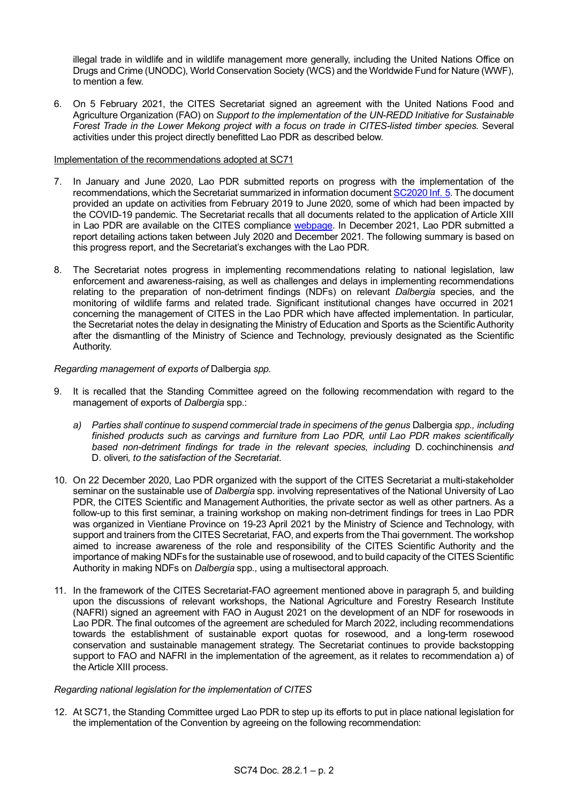illegal trade in wildlife and in wildlife management more generally, including the United Nations Office on Drugs and Crime (UNODC), World Conservation Society (WCS) and the Worldwide Fund for Nature (WWF), to mention a few.

6. On 5 February 2021, the CITES Secretariat signed an agreement with the United Nations Food and Agriculture Organization (FAO) on *Support to the implementation of the UN-REDD Initiative for Sustainable Forest Trade in the Lower Mekong project with a focus on trade in CITES-listed timber species.* Several activities under this project directly benefitted Lao PDR as described below.

# Implementation of the recommendations adopted at SC71

- 7. In January and June 2020, Lao PDR submitted reports on progress with the implementation of the recommendations, which the Secretariat summarized in information documen[t SC2020 Inf.](https://cites.org/sites/default/files/eng/com/sc/2020-2021/Inf/E-SC2020-Inf-05.pdf) 5. The document provided an update on activities from February 2019 to June 2020, some of which had been impacted by the COVID-19 pandemic. The Secretariat recalls that all documents related to the application of Article XIII in Lao PDR are available on the CITES compliance [webpage.](https://cites.org/eng/node/56553) In December 2021, Lao PDR submitted a report detailing actions taken between July 2020 and December 2021. The following summary is based on this progress report, and the Secretariat's exchanges with the Lao PDR.
- 8. The Secretariat notes progress in implementing recommendations relating to national legislation, law enforcement and awareness-raising, as well as challenges and delays in implementing recommendations relating to the preparation of non-detriment findings (NDFs) on relevant *Dalbergia* species, and the monitoring of wildlife farms and related trade. Significant institutional changes have occurred in 2021 concerning the management of CITES in the Lao PDR which have affected implementation. In particular, the Secretariat notes the delay in designating the Ministry of Education and Sports as the Scientific Authority after the dismantling of the Ministry of Science and Technology, previously designated as the Scientific Authority.

# *Regarding management of exports of* Dalbergia *spp.*

- 9. It is recalled that the Standing Committee agreed on the following recommendation with regard to the management of exports of *Dalbergia* spp.:
	- *a) Parties shall continue to suspend commercial trade in specimens of the genus* Dalbergia *spp., including finished products such as carvings and furniture from Lao PDR, until Lao PDR makes scientifically based non-detriment findings for trade in the relevant species, including* D. cochinchinensis *and*  D. oliveri*, to the satisfaction of the Secretariat.*
- 10. On 22 December 2020, Lao PDR organized with the support of the CITES Secretariat a multi-stakeholder seminar on the sustainable use of *Dalbergia* spp. involving representatives of the National University of Lao PDR, the CITES Scientific and Management Authorities, the private sector as well as other partners. As a follow-up to this first seminar, a training workshop on making non-detriment findings for trees in Lao PDR was organized in Vientiane Province on 19-23 April 2021 by the Ministry of Science and Technology, with support and trainers from the CITES Secretariat, FAO, and experts from the Thai government. The workshop aimed to increase awareness of the role and responsibility of the CITES Scientific Authority and the importance of making NDFs for the sustainable use of rosewood, and to build capacity of the CITES Scientific Authority in making NDFs on *Dalbergia* spp., using a multisectoral approach.
- 11. In the framework of the CITES Secretariat-FAO agreement mentioned above in paragraph 5, and building upon the discussions of relevant workshops, the National Agriculture and Forestry Research Institute (NAFRI) signed an agreement with FAO in August 2021 on the development of an NDF for rosewoods in Lao PDR. The final outcomes of the agreement are scheduled for March 2022, including recommendations towards the establishment of sustainable export quotas for rosewood, and a long-term rosewood conservation and sustainable management strategy. The Secretariat continues to provide backstopping support to FAO and NAFRI in the implementation of the agreement, as it relates to recommendation a) of the Article XIII process.

# *Regarding national legislation for the implementation of CITES*

12. At SC71, the Standing Committee urged Lao PDR to step up its efforts to put in place national legislation for the implementation of the Convention by agreeing on the following recommendation: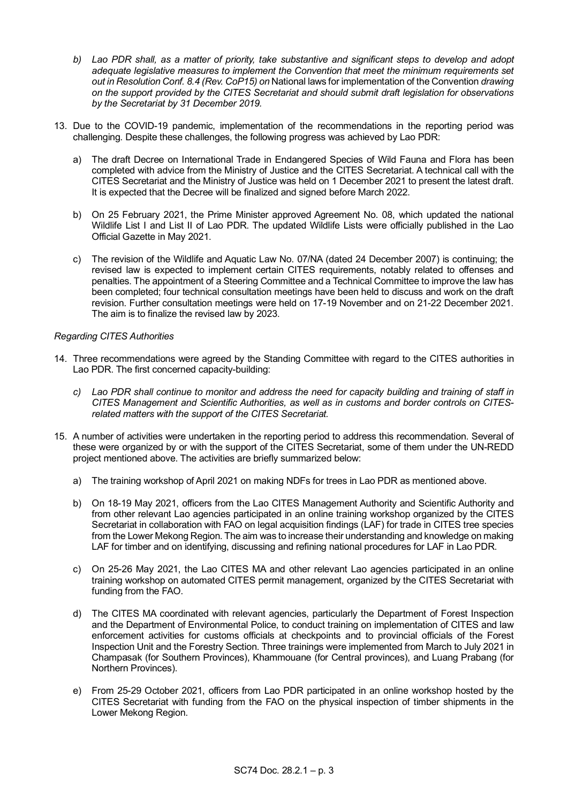- *b) Lao PDR shall, as a matter of priority, take substantive and significant steps to develop and adopt adequate legislative measures to implement the Convention that meet the minimum requirements set out in Resolution Conf. 8.4 (Rev. CoP15) on* National laws for implementation of the Convention *drawing on the support provided by the CITES Secretariat and should submit draft legislation for observations by the Secretariat by 31 December 2019.*
- 13. Due to the COVID-19 pandemic, implementation of the recommendations in the reporting period was challenging. Despite these challenges, the following progress was achieved by Lao PDR:
	- a) The draft Decree on International Trade in Endangered Species of Wild Fauna and Flora has been completed with advice from the Ministry of Justice and the CITES Secretariat. A technical call with the CITES Secretariat and the Ministry of Justice was held on 1 December 2021 to present the latest draft. It is expected that the Decree will be finalized and signed before March 2022.
	- b) On 25 February 2021, the Prime Minister approved Agreement No. 08, which updated the national Wildlife List I and List II of Lao PDR. The updated Wildlife Lists were officially published in the Lao Official Gazette in May 2021.
	- c) The revision of the Wildlife and Aquatic Law No. 07/NA (dated 24 December 2007) is continuing; the revised law is expected to implement certain CITES requirements, notably related to offenses and penalties. The appointment of a Steering Committee and a Technical Committee to improve the law has been completed; four technical consultation meetings have been held to discuss and work on the draft revision. Further consultation meetings were held on 17-19 November and on 21-22 December 2021. The aim is to finalize the revised law by 2023.

# *Regarding CITES Authorities*

- 14. Three recommendations were agreed by the Standing Committee with regard to the CITES authorities in Lao PDR. The first concerned capacity-building:
	- *c) Lao PDR shall continue to monitor and address the need for capacity building and training of staff in CITES Management and Scientific Authorities, as well as in customs and border controls on CITESrelated matters with the support of the CITES Secretariat.*
- 15. A number of activities were undertaken in the reporting period to address this recommendation. Several of these were organized by or with the support of the CITES Secretariat, some of them under the UN-REDD project mentioned above. The activities are briefly summarized below:
	- a) The training workshop of April 2021 on making NDFs for trees in Lao PDR as mentioned above.
	- b) On 18-19 May 2021, officers from the Lao CITES Management Authority and Scientific Authority and from other relevant Lao agencies participated in an online training workshop organized by the CITES Secretariat in collaboration with FAO on legal acquisition findings (LAF) for trade in CITES tree species from the Lower Mekong Region. The aim was to increase their understanding and knowledge on making LAF for timber and on identifying, discussing and refining national procedures for LAF in Lao PDR.
	- c) On 25-26 May 2021, the Lao CITES MA and other relevant Lao agencies participated in an online training workshop on automated CITES permit management, organized by the CITES Secretariat with funding from the FAO.
	- d) The CITES MA coordinated with relevant agencies, particularly the Department of Forest Inspection and the Department of Environmental Police, to conduct training on implementation of CITES and law enforcement activities for customs officials at checkpoints and to provincial officials of the Forest Inspection Unit and the Forestry Section. Three trainings were implemented from March to July 2021 in Champasak (for Southern Provinces), Khammouane (for Central provinces), and Luang Prabang (for Northern Provinces).
	- e) From 25-29 October 2021, officers from Lao PDR participated in an online workshop hosted by the CITES Secretariat with funding from the FAO on the physical inspection of timber shipments in the Lower Mekong Region.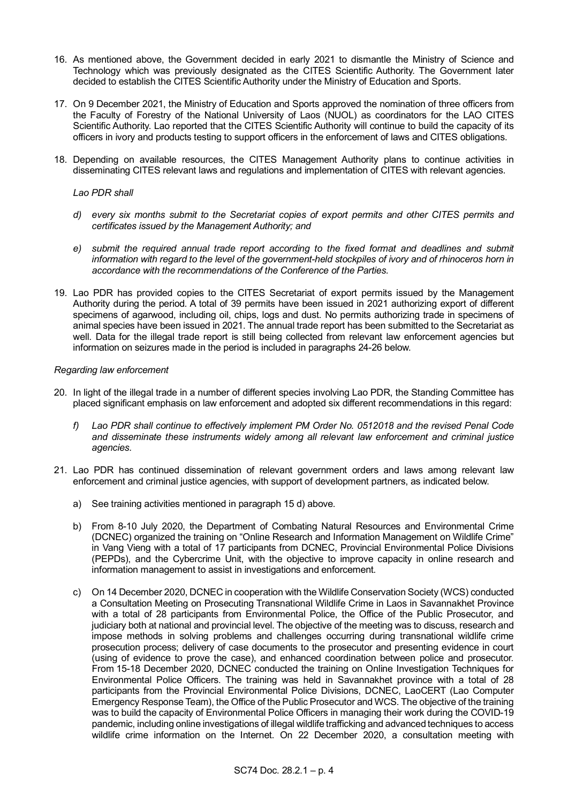- 16. As mentioned above, the Government decided in early 2021 to dismantle the Ministry of Science and Technology which was previously designated as the CITES Scientific Authority. The Government later decided to establish the CITES Scientific Authority under the Ministry of Education and Sports.
- 17. On 9 December 2021, the Ministry of Education and Sports approved the nomination of three officers from the Faculty of Forestry of the National University of Laos (NUOL) as coordinators for the LAO CITES Scientific Authority. Lao reported that the CITES Scientific Authority will continue to build the capacity of its officers in ivory and products testing to support officers in the enforcement of laws and CITES obligations.
- 18. Depending on available resources, the CITES Management Authority plans to continue activities in disseminating CITES relevant laws and regulations and implementation of CITES with relevant agencies.

# *Lao PDR shall*

- *d) every six months submit to the Secretariat copies of export permits and other CITES permits and certificates issued by the Management Authority; and*
- *e) submit the required annual trade report according to the fixed format and deadlines and submit information with regard to the level of the government-held stockpiles of ivory and of rhinoceros horn in accordance with the recommendations of the Conference of the Parties.*
- 19. Lao PDR has provided copies to the CITES Secretariat of export permits issued by the Management Authority during the period. A total of 39 permits have been issued in 2021 authorizing export of different specimens of agarwood, including oil, chips, logs and dust. No permits authorizing trade in specimens of animal species have been issued in 2021. The annual trade report has been submitted to the Secretariat as well. Data for the illegal trade report is still being collected from relevant law enforcement agencies but information on seizures made in the period is included in paragraphs 24-26 below.

#### *Regarding law enforcement*

- 20. In light of the illegal trade in a number of different species involving Lao PDR, the Standing Committee has placed significant emphasis on law enforcement and adopted six different recommendations in this regard:
	- *f) Lao PDR shall continue to effectively implement PM Order No. 0512018 and the revised Penal Code and disseminate these instruments widely among all relevant law enforcement and criminal justice agencies.*
- 21. Lao PDR has continued dissemination of relevant government orders and laws among relevant law enforcement and criminal justice agencies, with support of development partners, as indicated below.
	- a) See training activities mentioned in paragraph 15 d) above.
	- b) From 8-10 July 2020, the Department of Combating Natural Resources and Environmental Crime (DCNEC) organized the training on "Online Research and Information Management on Wildlife Crime" in Vang Vieng with a total of 17 participants from DCNEC, Provincial Environmental Police Divisions (PEPDs), and the Cybercrime Unit, with the objective to improve capacity in online research and information management to assist in investigations and enforcement.
	- c) On 14 December 2020, DCNEC in cooperation with the Wildlife Conservation Society (WCS) conducted a Consultation Meeting on Prosecuting Transnational Wildlife Crime in Laos in Savannakhet Province with a total of 28 participants from Environmental Police, the Office of the Public Prosecutor, and judiciary both at national and provincial level. The objective of the meeting was to discuss, research and impose methods in solving problems and challenges occurring during transnational wildlife crime prosecution process; delivery of case documents to the prosecutor and presenting evidence in court (using of evidence to prove the case), and enhanced coordination between police and prosecutor. From 15-18 December 2020, DCNEC conducted the training on Online Investigation Techniques for Environmental Police Officers. The training was held in Savannakhet province with a total of 28 participants from the Provincial Environmental Police Divisions, DCNEC, LaoCERT (Lao Computer Emergency Response Team), the Office of the Public Prosecutor and WCS. The objective of the training was to build the capacity of Environmental Police Officers in managing their work during the COVID-19 pandemic, including online investigations of illegal wildlife trafficking and advanced techniques to access wildlife crime information on the Internet. On 22 December 2020, a consultation meeting with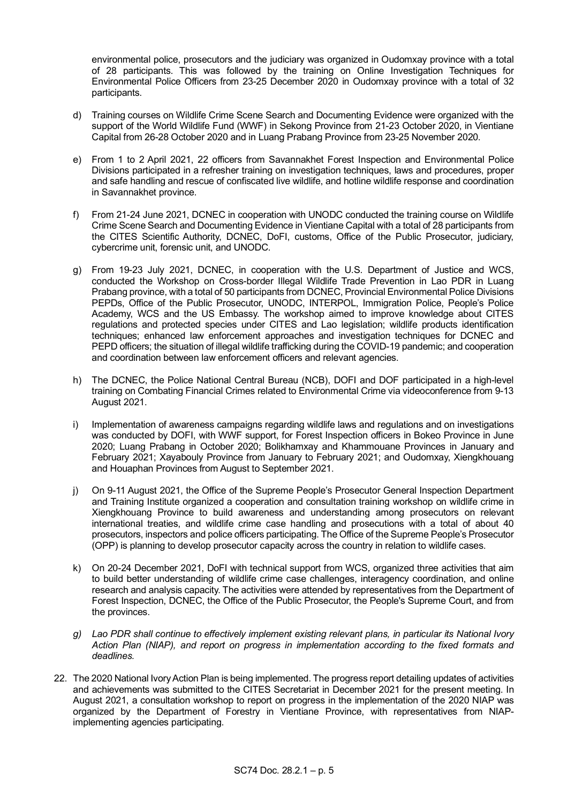environmental police, prosecutors and the judiciary was organized in Oudomxay province with a total of 28 participants. This was followed by the training on Online Investigation Techniques for Environmental Police Officers from 23-25 December 2020 in Oudomxay province with a total of 32 participants.

- d) Training courses on Wildlife Crime Scene Search and Documenting Evidence were organized with the support of the World Wildlife Fund (WWF) in Sekong Province from 21-23 October 2020, in Vientiane Capital from 26-28 October 2020 and in Luang Prabang Province from 23-25 November 2020.
- e) From 1 to 2 April 2021, 22 officers from Savannakhet Forest Inspection and Environmental Police Divisions participated in a refresher training on investigation techniques, laws and procedures, proper and safe handling and rescue of confiscated live wildlife, and hotline wildlife response and coordination in Savannakhet province.
- f) From 21-24 June 2021, DCNEC in cooperation with UNODC conducted the training course on Wildlife Crime Scene Search and Documenting Evidence in Vientiane Capital with a total of 28 participants from the CITES Scientific Authority, DCNEC, DoFI, customs, Office of the Public Prosecutor, judiciary, cybercrime unit, forensic unit, and UNODC.
- g) From 19-23 July 2021, DCNEC, in cooperation with the U.S. Department of Justice and WCS, conducted the Workshop on Cross-border Illegal Wildlife Trade Prevention in Lao PDR in Luang Prabang province, with a total of 50 participants from DCNEC, Provincial Environmental Police Divisions PEPDs, Office of the Public Prosecutor, UNODC, INTERPOL, Immigration Police, People's Police Academy, WCS and the US Embassy. The workshop aimed to improve knowledge about CITES regulations and protected species under CITES and Lao legislation; wildlife products identification techniques; enhanced law enforcement approaches and investigation techniques for DCNEC and PEPD officers; the situation of illegal wildlife trafficking during the COVID-19 pandemic; and cooperation and coordination between law enforcement officers and relevant agencies.
- h) The DCNEC, the Police National Central Bureau (NCB), DOFI and DOF participated in a high-level training on Combating Financial Crimes related to Environmental Crime via videoconference from 9-13 August 2021.
- i) Implementation of awareness campaigns regarding wildlife laws and regulations and on investigations was conducted by DOFI, with WWF support, for Forest Inspection officers in Bokeo Province in June 2020; Luang Prabang in October 2020; Bolikhamxay and Khammouane Provinces in January and February 2021; Xayabouly Province from January to February 2021; and Oudomxay, Xiengkhouang and Houaphan Provinces from August to September 2021.
- j) On 9-11 August 2021, the Office of the Supreme People's Prosecutor General Inspection Department and Training Institute organized a cooperation and consultation training workshop on wildlife crime in Xiengkhouang Province to build awareness and understanding among prosecutors on relevant international treaties, and wildlife crime case handling and prosecutions with a total of about 40 prosecutors, inspectors and police officers participating. The Office of the Supreme People's Prosecutor (OPP) is planning to develop prosecutor capacity across the country in relation to wildlife cases.
- k) On 20-24 December 2021, DoFI with technical support from WCS, organized three activities that aim to build better understanding of wildlife crime case challenges, interagency coordination, and online research and analysis capacity. The activities were attended by representatives from the Department of Forest Inspection, DCNEC, the Office of the Public Prosecutor, the People's Supreme Court, and from the provinces.
- *g) Lao PDR shall continue to effectively implement existing relevant plans, in particular its National Ivory Action Plan (NIAP), and report on progress in implementation according to the fixed formats and deadlines.*
- 22. The 2020 National Ivory Action Plan is being implemented. The progress report detailing updates of activities and achievements was submitted to the CITES Secretariat in December 2021 for the present meeting. In August 2021, a consultation workshop to report on progress in the implementation of the 2020 NIAP was organized by the Department of Forestry in Vientiane Province, with representatives from NIAPimplementing agencies participating.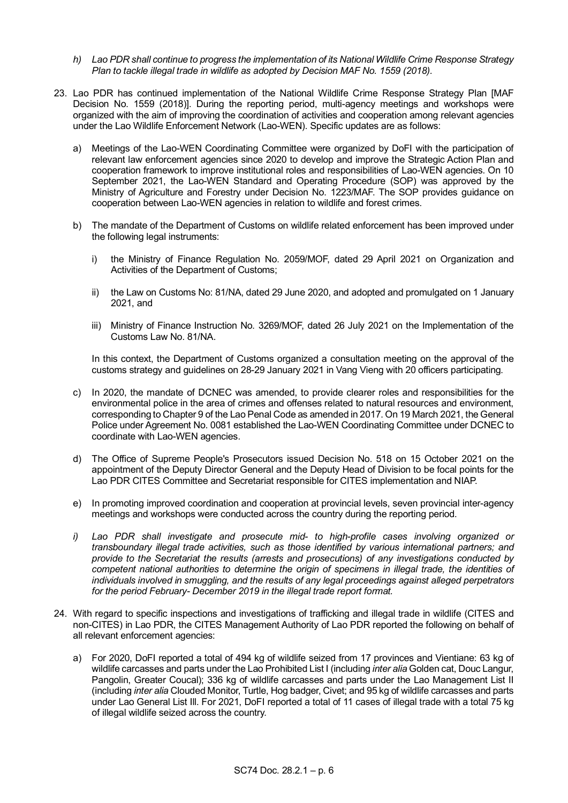- *h) Lao PDR shall continue to progress the implementation of its National Wildlife Crime Response Strategy Plan to tackle illegal trade in wildlife as adopted by Decision MAF No. 1559 (2018).*
- 23. Lao PDR has continued implementation of the National Wildlife Crime Response Strategy Plan [MAF Decision No. 1559 (2018)]. During the reporting period, multi-agency meetings and workshops were organized with the aim of improving the coordination of activities and cooperation among relevant agencies under the Lao Wildlife Enforcement Network (Lao-WEN). Specific updates are as follows:
	- a) Meetings of the Lao-WEN Coordinating Committee were organized by DoFI with the participation of relevant law enforcement agencies since 2020 to develop and improve the Strategic Action Plan and cooperation framework to improve institutional roles and responsibilities of Lao-WEN agencies. On 10 September 2021, the Lao-WEN Standard and Operating Procedure (SOP) was approved by the Ministry of Agriculture and Forestry under Decision No. 1223/MAF. The SOP provides guidance on cooperation between Lao-WEN agencies in relation to wildlife and forest crimes.
	- b) The mandate of the Department of Customs on wildlife related enforcement has been improved under the following legal instruments:
		- i) the Ministry of Finance Regulation No. 2059/MOF, dated 29 April 2021 on Organization and Activities of the Department of Customs;
		- ii) the Law on Customs No: 81/NA, dated 29 June 2020, and adopted and promulgated on 1 January 2021, and
		- iii) Ministry of Finance Instruction No. 3269/MOF, dated 26 July 2021 on the Implementation of the Customs Law No. 81/NA.

In this context, the Department of Customs organized a consultation meeting on the approval of the customs strategy and guidelines on 28-29 January 2021 in Vang Vieng with 20 officers participating.

- c) In 2020, the mandate of DCNEC was amended, to provide clearer roles and responsibilities for the environmental police in the area of crimes and offenses related to natural resources and environment, corresponding to Chapter 9 of the Lao Penal Code as amended in 2017. On 19 March 2021, the General Police under Agreement No. 0081 established the Lao-WEN Coordinating Committee under DCNEC to coordinate with Lao-WEN agencies.
- d) The Office of Supreme People's Prosecutors issued Decision No. 518 on 15 October 2021 on the appointment of the Deputy Director General and the Deputy Head of Division to be focal points for the Lao PDR CITES Committee and Secretariat responsible for CITES implementation and NIAP.
- e) In promoting improved coordination and cooperation at provincial levels, seven provincial inter-agency meetings and workshops were conducted across the country during the reporting period.
- *i) Lao PDR shall investigate and prosecute mid- to high-profile cases involving organized or transboundary illegal trade activities, such as those identified by various international partners; and provide to the Secretariat the results (arrests and prosecutions) of any investigations conducted by competent national authorities to determine the origin of specimens in illegal trade, the identities of individuals involved in smuggling, and the results of any legal proceedings against alleged perpetrators for the period February- December 2019 in the illegal trade report format.*
- 24. With regard to specific inspections and investigations of trafficking and illegal trade in wildlife (CITES and non-CITES) in Lao PDR, the CITES Management Authority of Lao PDR reported the following on behalf of all relevant enforcement agencies:
	- a) For 2020, DoFI reported a total of 494 kg of wildlife seized from 17 provinces and Vientiane: 63 kg of wildlife carcasses and parts under the Lao Prohibited List I (including *inter alia* Golden cat, Douc Langur, Pangolin, Greater Coucal); 336 kg of wildlife carcasses and parts under the Lao Management List II (including *inter alia* Clouded Monitor, Turtle, Hog badger, Civet; and 95 kg of wildlife carcasses and parts under Lao General List Ill. For 2021, DoFI reported a total of 11 cases of illegal trade with a total 75 kg of illegal wildlife seized across the country.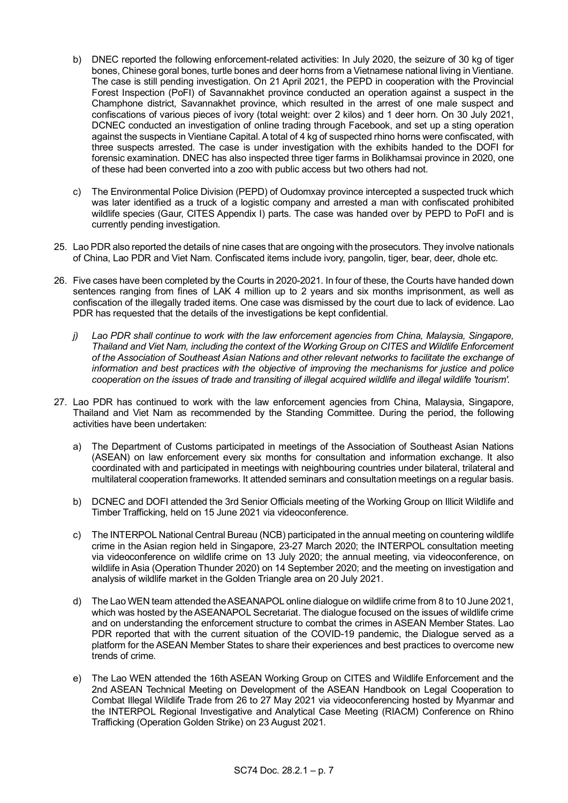- b) DNEC reported the following enforcement-related activities: In July 2020, the seizure of 30 kg of tiger bones, Chinese goral bones, turtle bones and deer horns from a Vietnamese national living in Vientiane. The case is still pending investigation. On 21 April 2021, the PEPD in cooperation with the Provincial Forest Inspection (PoFI) of Savannakhet province conducted an operation against a suspect in the Champhone district, Savannakhet province, which resulted in the arrest of one male suspect and confiscations of various pieces of ivory (total weight: over 2 kilos) and 1 deer horn. On 30 July 2021, DCNEC conducted an investigation of online trading through Facebook, and set up a sting operation against the suspects in Vientiane Capital. A total of 4 kg of suspected rhino horns were confiscated, with three suspects arrested. The case is under investigation with the exhibits handed to the DOFI for forensic examination. DNEC has also inspected three tiger farms in Bolikhamsai province in 2020, one of these had been converted into a zoo with public access but two others had not.
- c) The Environmental Police Division (PEPD) of Oudomxay province intercepted a suspected truck which was later identified as a truck of a logistic company and arrested a man with confiscated prohibited wildlife species (Gaur, CITES Appendix I) parts. The case was handed over by PEPD to PoFI and is currently pending investigation.
- 25. Lao PDR also reported the details of nine cases that are ongoing with the prosecutors. They involve nationals of China, Lao PDR and Viet Nam. Confiscated items include ivory, pangolin, tiger, bear, deer, dhole etc.
- 26. Five cases have been completed by the Courts in 2020-2021. In four of these, the Courts have handed down sentences ranging from fines of LAK 4 million up to 2 years and six months imprisonment, as well as confiscation of the illegally traded items. One case was dismissed by the court due to lack of evidence. Lao PDR has requested that the details of the investigations be kept confidential.
	- *j) Lao PDR shall continue to work with the law enforcement agencies from China, Malaysia, Singapore, Thailand and Viet Nam, including the context of the Working Group on CITES and Wildlife Enforcement of the Association of Southeast Asian Nations and other relevant networks to facilitate the exchange of information and best practices with the objective of improving the mechanisms for justice and police cooperation on the issues of trade and transiting of illegal acquired wildlife and illegal wildlife 'tourism'.*
- 27. Lao PDR has continued to work with the law enforcement agencies from China, Malaysia, Singapore, Thailand and Viet Nam as recommended by the Standing Committee. During the period, the following activities have been undertaken:
	- a) The Department of Customs participated in meetings of the Association of Southeast Asian Nations (ASEAN) on law enforcement every six months for consultation and information exchange. It also coordinated with and participated in meetings with neighbouring countries under bilateral, trilateral and multilateral cooperation frameworks. It attended seminars and consultation meetings on a regular basis.
	- b) DCNEC and DOFI attended the 3rd Senior Officials meeting of the Working Group on Illicit Wildlife and Timber Trafficking, held on 15 June 2021 via videoconference.
	- c) The INTERPOL National Central Bureau (NCB) participated in the annual meeting on countering wildlife crime in the Asian region held in Singapore, 23-27 March 2020; the INTERPOL consultation meeting via videoconference on wildlife crime on 13 July 2020; the annual meeting, via videoconference, on wildlife in Asia (Operation Thunder 2020) on 14 September 2020; and the meeting on investigation and analysis of wildlife market in the Golden Triangle area on 20 July 2021.
	- d) The Lao WEN team attended the ASEANAPOL online dialogue on wildlife crime from 8 to 10 June 2021, which was hosted by the ASEANAPOL Secretariat. The dialogue focused on the issues of wildlife crime and on understanding the enforcement structure to combat the crimes in ASEAN Member States. Lao PDR reported that with the current situation of the COVID-19 pandemic, the Dialogue served as a platform for the ASEAN Member States to share their experiences and best practices to overcome new trends of crime.
	- e) The Lao WEN attended the 16th ASEAN Working Group on CITES and Wildlife Enforcement and the 2nd ASEAN Technical Meeting on Development of the ASEAN Handbook on Legal Cooperation to Combat Illegal Wildlife Trade from 26 to 27 May 2021 via videoconferencing hosted by Myanmar and the INTERPOL Regional Investigative and Analytical Case Meeting (RIACM) Conference on Rhino Trafficking (Operation Golden Strike) on 23 August 2021.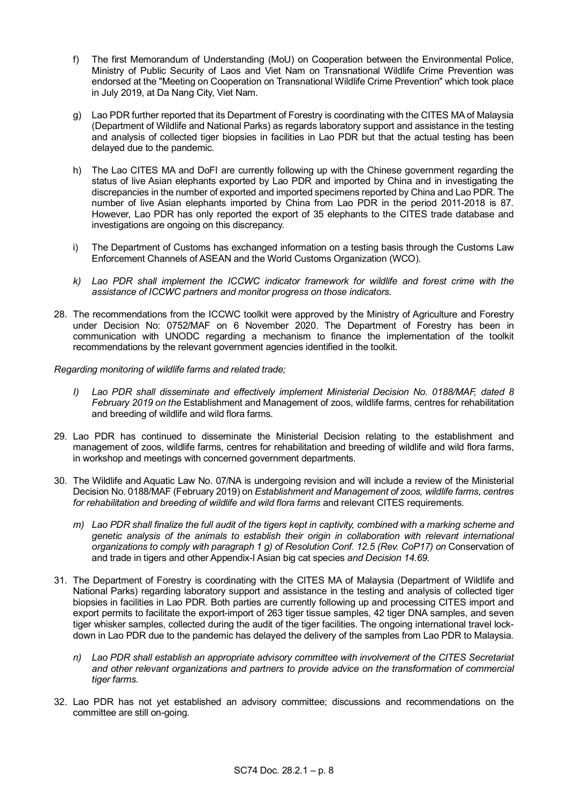- f) The first Memorandum of Understanding (MoU) on Cooperation between the Environmental Police, Ministry of Public Security of Laos and Viet Nam on Transnational Wildlife Crime Prevention was endorsed at the "Meeting on Cooperation on Transnational Wildlife Crime Prevention" which took place in July 2019, at Da Nang City, Viet Nam.
- g) Lao PDR further reported that its Department of Forestry is coordinating with the CITES MA of Malaysia (Department of Wildlife and National Parks) as regards laboratory support and assistance in the testing and analysis of collected tiger biopsies in facilities in Lao PDR but that the actual testing has been delayed due to the pandemic.
- h) The Lao CITES MA and DoFI are currently following up with the Chinese government regarding the status of live Asian elephants exported by Lao PDR and imported by China and in investigating the discrepancies in the number of exported and imported specimens reported by China and Lao PDR. The number of live Asian elephants imported by China from Lao PDR in the period 2011-2018 is 87. However, Lao PDR has only reported the export of 35 elephants to the CITES trade database and investigations are ongoing on this discrepancy.
- i) The Department of Customs has exchanged information on a testing basis through the Customs Law Enforcement Channels of ASEAN and the World Customs Organization (WCO).
- *k) Lao PDR shall implement the ICCWC indicator framework for wildlife and forest crime with the assistance of ICCWC partners and monitor progress on those indicators.*
- 28. The recommendations from the ICCWC toolkit were approved by the Ministry of Agriculture and Forestry under Decision No: 0752/MAF on 6 November 2020. The Department of Forestry has been in communication with UNODC regarding a mechanism to finance the implementation of the toolkit recommendations by the relevant government agencies identified in the toolkit.

# *Regarding monitoring of wildlife farms and related trade;*

- *I) Lao PDR shall disseminate and effectively implement Ministerial Decision No. 0188/MAF, dated 8 February 2019 on the* Establishment and Management of zoos, wildlife farms, centres for rehabilitation and breeding of wildlife and wild flora farms.
- 29. Lao PDR has continued to disseminate the Ministerial Decision relating to the establishment and management of zoos, wildlife farms, centres for rehabilitation and breeding of wildlife and wild flora farms, in workshop and meetings with concerned government departments.
- 30. The Wildlife and Aquatic Law No. 07/NA is undergoing revision and will include a review of the Ministerial Decision No. 0188/MAF (February 2019) on *Establishment and Management of zoos, wildlife farms, centres for rehabilitation and breeding of wildlife and wild flora farms* and relevant CITES requirements.
	- *m) Lao PDR shall finalize the full audit of the tigers kept in captivity, combined with a marking scheme and genetic analysis of the animals to establish their origin in collaboration with relevant international*  organizations to comply with paragraph 1 g) of Resolution Conf. 12.5 (Rev. CoP17) on Conservation of and trade in tigers and other Appendix-I Asian big cat species *and Decision 14.69.*
- 31. The Department of Forestry is coordinating with the CITES MA of Malaysia (Department of Wildlife and National Parks) regarding laboratory support and assistance in the testing and analysis of collected tiger biopsies in facilities in Lao PDR. Both parties are currently following up and processing CITES import and export permits to facilitate the export-import of 263 tiger tissue samples, 42 tiger DNA samples, and seven tiger whisker samples, collected during the audit of the tiger facilities. The ongoing international travel lockdown in Lao PDR due to the pandemic has delayed the delivery of the samples from Lao PDR to Malaysia.
	- *n) Lao PDR shall establish an appropriate advisory committee with involvement of the CITES Secretariat and other relevant organizations and partners to provide advice on the transformation of commercial tiger farms.*
- 32. Lao PDR has not yet established an advisory committee; discussions and recommendations on the committee are still on-going.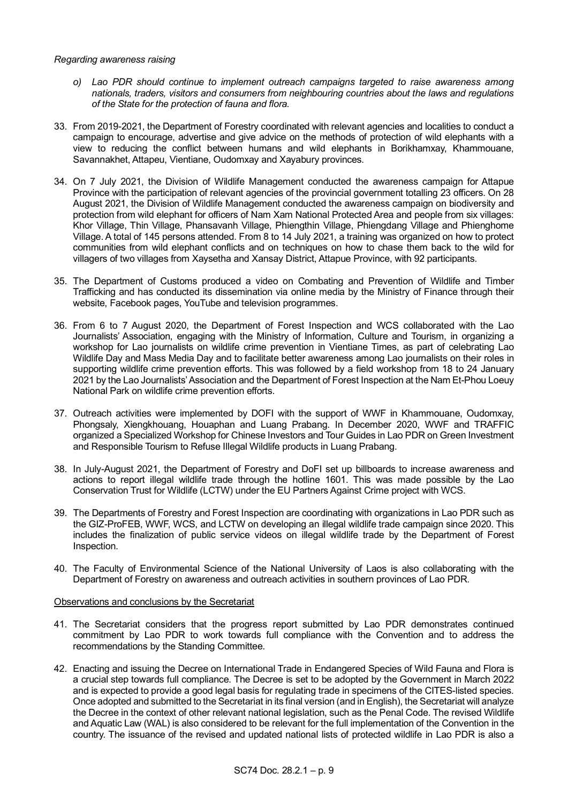#### *Regarding awareness raising*

- *o) Lao PDR should continue to implement outreach campaigns targeted to raise awareness among nationals, traders, visitors and consumers from neighbouring countries about the laws and regulations of the State for the protection of fauna and flora.*
- 33. From 2019-2021, the Department of Forestry coordinated with relevant agencies and localities to conduct a campaign to encourage, advertise and give advice on the methods of protection of wild elephants with a view to reducing the conflict between humans and wild elephants in Borikhamxay, Khammouane, Savannakhet, Attapeu, Vientiane, Oudomxay and Xayabury provinces.
- 34. On 7 July 2021, the Division of Wildlife Management conducted the awareness campaign for Attapue Province with the participation of relevant agencies of the provincial government totalling 23 officers. On 28 August 2021, the Division of Wildlife Management conducted the awareness campaign on biodiversity and protection from wild elephant for officers of Nam Xam National Protected Area and people from six villages: Khor Village, Thin Village, Phansavanh Village, Phiengthin Village, Phiengdang Village and Phienghome Village. A total of 145 persons attended. From 8 to 14 July 2021, a training was organized on how to protect communities from wild elephant conflicts and on techniques on how to chase them back to the wild for villagers of two villages from Xaysetha and Xansay District, Attapue Province, with 92 participants.
- 35. The Department of Customs produced a video on Combating and Prevention of Wildlife and Timber Trafficking and has conducted its dissemination via online media by the Ministry of Finance through their website, Facebook pages, YouTube and television programmes.
- 36. From 6 to 7 August 2020, the Department of Forest Inspection and WCS collaborated with the Lao Journalists' Association, engaging with the Ministry of Information, Culture and Tourism, in organizing a workshop for Lao journalists on wildlife crime prevention in Vientiane Times, as part of celebrating Lao Wildlife Day and Mass Media Day and to facilitate better awareness among Lao journalists on their roles in supporting wildlife crime prevention efforts. This was followed by a field workshop from 18 to 24 January 2021 by the Lao Journalists' Association and the Department of Forest Inspection at the Nam Et-Phou Loeuy National Park on wildlife crime prevention efforts.
- 37. Outreach activities were implemented by DOFI with the support of WWF in Khammouane, Oudomxay, Phongsaly, Xiengkhouang, Houaphan and Luang Prabang. In December 2020, WWF and TRAFFIC organized a Specialized Workshop for Chinese Investors and Tour Guides in Lao PDR on Green Investment and Responsible Tourism to Refuse Illegal Wildlife products in Luang Prabang.
- 38. In July-August 2021, the Department of Forestry and DoFI set up billboards to increase awareness and actions to report illegal wildlife trade through the hotline 1601. This was made possible by the Lao Conservation Trust for Wildlife (LCTW) under the EU Partners Against Crime project with WCS.
- 39. The Departments of Forestry and Forest Inspection are coordinating with organizations in Lao PDR such as the GIZ-ProFEB, WWF, WCS, and LCTW on developing an illegal wildlife trade campaign since 2020. This includes the finalization of public service videos on illegal wildlife trade by the Department of Forest Inspection.
- 40. The Faculty of Environmental Science of the National University of Laos is also collaborating with the Department of Forestry on awareness and outreach activities in southern provinces of Lao PDR.

# Observations and conclusions by the Secretariat

- 41. The Secretariat considers that the progress report submitted by Lao PDR demonstrates continued commitment by Lao PDR to work towards full compliance with the Convention and to address the recommendations by the Standing Committee.
- 42. Enacting and issuing the Decree on International Trade in Endangered Species of Wild Fauna and Flora is a crucial step towards full compliance. The Decree is set to be adopted by the Government in March 2022 and is expected to provide a good legal basis for regulating trade in specimens of the CITES-listed species. Once adopted and submitted to the Secretariat in its final version (and in English), the Secretariat will analyze the Decree in the context of other relevant national legislation, such as the Penal Code. The revised Wildlife and Aquatic Law (WAL) is also considered to be relevant for the full implementation of the Convention in the country. The issuance of the revised and updated national lists of protected wildlife in Lao PDR is also a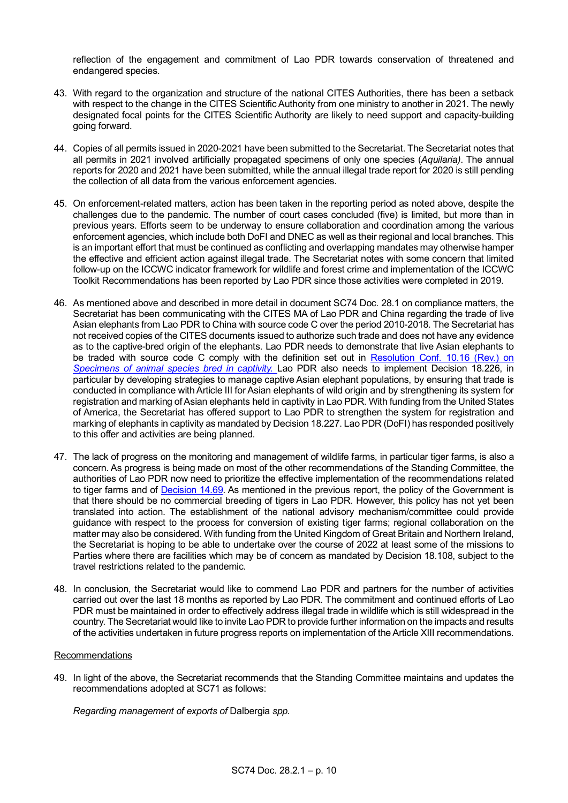reflection of the engagement and commitment of Lao PDR towards conservation of threatened and endangered species.

- 43. With regard to the organization and structure of the national CITES Authorities, there has been a setback with respect to the change in the CITES Scientific Authority from one ministry to another in 2021. The newly designated focal points for the CITES Scientific Authority are likely to need support and capacity-building going forward.
- 44. Copies of all permits issued in 2020-2021 have been submitted to the Secretariat. The Secretariat notes that all permits in 2021 involved artificially propagated specimens of only one species (*Aquilaria)*. The annual reports for 2020 and 2021 have been submitted, while the annual illegal trade report for 2020 is still pending the collection of all data from the various enforcement agencies.
- 45. On enforcement-related matters, action has been taken in the reporting period as noted above, despite the challenges due to the pandemic. The number of court cases concluded (five) is limited, but more than in previous years. Efforts seem to be underway to ensure collaboration and coordination among the various enforcement agencies, which include both DoFI and DNEC as well as their regional and local branches. This is an important effort that must be continued as conflicting and overlapping mandates may otherwise hamper the effective and efficient action against illegal trade. The Secretariat notes with some concern that limited follow-up on the ICCWC indicator framework for wildlife and forest crime and implementation of the ICCWC Toolkit Recommendations has been reported by Lao PDR since those activities were completed in 2019.
- 46. As mentioned above and described in more detail in document SC74 Doc. 28.1 on compliance matters, the Secretariat has been communicating with the CITES MA of Lao PDR and China regarding the trade of live Asian elephants from Lao PDR to China with source code C over the period 2010-2018. The Secretariat has not received copies of the CITES documents issued to authorize such trade and does not have any evidence as to the captive-bred origin of the elephants. Lao PDR needs to demonstrate that live Asian elephants to be traded with source code C comply with the definition set out in Resolution Conf. 10.16 (Rev.) on **[Specimens of animal species bred in captivity.](https://cites.org/sites/default/files/document/E-Res-10-16-R11_0.pdf)** Lao PDR also needs to implement Decision 18.226, in particular by developing strategies to manage captive Asian elephant populations, by ensuring that trade is conducted in compliance with Article III for Asian elephants of wild origin and by strengthening its system for registration and marking of Asian elephants held in captivity in Lao PDR. With funding from the United States of America, the Secretariat has offered support to Lao PDR to strengthen the system for registration and marking of elephants in captivity as mandated by Decision 18.227. Lao PDR (DoFI) has responded positively to this offer and activities are being planned.
- 47. The lack of progress on the monitoring and management of wildlife farms, in particular tiger farms, is also a concern. As progress is being made on most of the other recommendations of the Standing Committee, the authorities of Lao PDR now need to prioritize the effective implementation of the recommendations related to tiger farms and of [Decision 14.69.](https://cites.org/eng/dec/index.php/42069) As mentioned in the previous report, the policy of the Government is that there should be no commercial breeding of tigers in Lao PDR. However, this policy has not yet been translated into action. The establishment of the national advisory mechanism/committee could provide guidance with respect to the process for conversion of existing tiger farms; regional collaboration on the matter may also be considered. With funding from the United Kingdom of Great Britain and Northern Ireland, the Secretariat is hoping to be able to undertake over the course of 2022 at least some of the missions to Parties where there are facilities which may be of concern as mandated by Decision 18.108, subject to the travel restrictions related to the pandemic.
- 48. In conclusion, the Secretariat would like to commend Lao PDR and partners for the number of activities carried out over the last 18 months as reported by Lao PDR. The commitment and continued efforts of Lao PDR must be maintained in order to effectively address illegal trade in wildlife which is still widespread in the country. The Secretariat would like to invite Lao PDR to provide further information on the impacts and results of the activities undertaken in future progress reports on implementation of the Article XIII recommendations.

#### Recommendations

49. In light of the above, the Secretariat recommends that the Standing Committee maintains and updates the recommendations adopted at SC71 as follows:

*Regarding management of exports of* Dalbergia *spp.*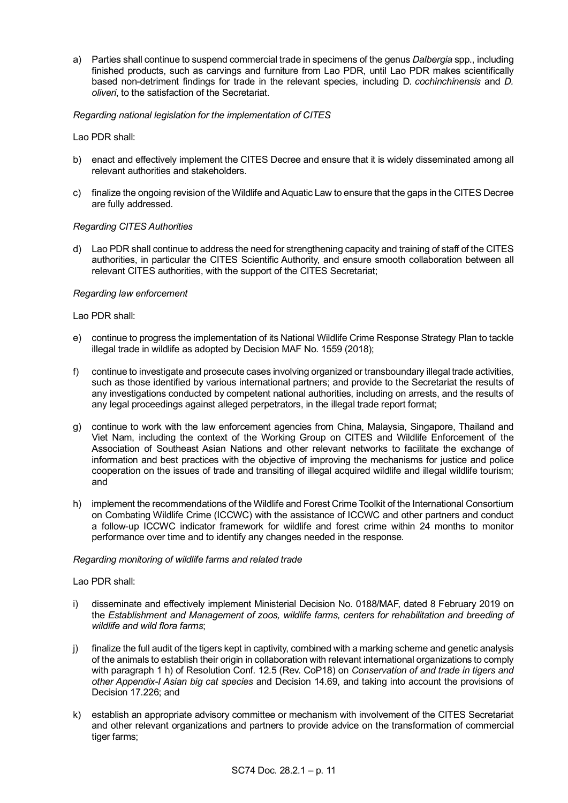a) Parties shall continue to suspend commercial trade in specimens of the genus *Dalbergia* spp., including finished products, such as carvings and furniture from Lao PDR, until Lao PDR makes scientifically based non-detriment findings for trade in the relevant species, including D*. cochinchinensis* and *D. oliveri*, to the satisfaction of the Secretariat.

# *Regarding national legislation for the implementation of CITES*

Lao PDR shall:

- b) enact and effectively implement the CITES Decree and ensure that it is widely disseminated among all relevant authorities and stakeholders.
- c) finalize the ongoing revision of the Wildlife and Aquatic Law to ensure that the gaps in the CITES Decree are fully addressed.

# *Regarding CITES Authorities*

d) Lao PDR shall continue to address the need for strengthening capacity and training of staff of the CITES authorities, in particular the CITES Scientific Authority, and ensure smooth collaboration between all relevant CITES authorities, with the support of the CITES Secretariat;

#### *Regarding law enforcement*

# Lao PDR shall:

- e) continue to progress the implementation of its National Wildlife Crime Response Strategy Plan to tackle illegal trade in wildlife as adopted by Decision MAF No. 1559 (2018);
- f) continue to investigate and prosecute cases involving organized or transboundary illegal trade activities, such as those identified by various international partners; and provide to the Secretariat the results of any investigations conducted by competent national authorities, including on arrests, and the results of any legal proceedings against alleged perpetrators, in the illegal trade report format;
- g) continue to work with the law enforcement agencies from China, Malaysia, Singapore, Thailand and Viet Nam, including the context of the Working Group on CITES and Wildlife Enforcement of the Association of Southeast Asian Nations and other relevant networks to facilitate the exchange of information and best practices with the objective of improving the mechanisms for justice and police cooperation on the issues of trade and transiting of illegal acquired wildlife and illegal wildlife tourism; and
- h) implement the recommendations of the Wildlife and Forest Crime Toolkit of the International Consortium on Combating Wildlife Crime (ICCWC) with the assistance of ICCWC and other partners and conduct a follow-up ICCWC indicator framework for wildlife and forest crime within 24 months to monitor performance over time and to identify any changes needed in the response.

#### *Regarding monitoring of wildlife farms and related trade*

# Lao PDR shall:

- i) disseminate and effectively implement Ministerial Decision No. 0188/MAF, dated 8 February 2019 on the *Establishment and Management of zoos, wildlife farms, centers for rehabilitation and breeding of wildlife and wild flora farms*;
- j) finalize the full audit of the tigers kept in captivity, combined with a marking scheme and genetic analysis of the animals to establish their origin in collaboration with relevant international organizations to comply with paragraph 1 h) of Resolution Conf. 12.5 (Rev. CoP18) on *Conservation of and trade in tigers and other Appendix-I Asian big cat species* and Decision 14.69, and taking into account the provisions of Decision 17.226; and
- k) establish an appropriate advisory committee or mechanism with involvement of the CITES Secretariat and other relevant organizations and partners to provide advice on the transformation of commercial tiger farms;